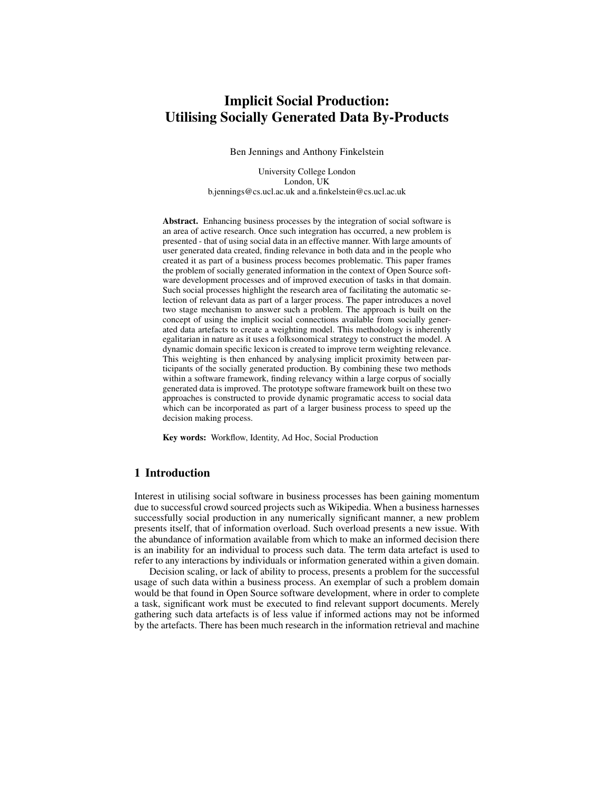# Implicit Social Production: Utilising Socially Generated Data By-Products

Ben Jennings and Anthony Finkelstein

University College London London, UK b.jennings@cs.ucl.ac.uk and a.finkelstein@cs.ucl.ac.uk

Abstract. Enhancing business processes by the integration of social software is an area of active research. Once such integration has occurred, a new problem is presented - that of using social data in an effective manner. With large amounts of user generated data created, finding relevance in both data and in the people who created it as part of a business process becomes problematic. This paper frames the problem of socially generated information in the context of Open Source software development processes and of improved execution of tasks in that domain. Such social processes highlight the research area of facilitating the automatic selection of relevant data as part of a larger process. The paper introduces a novel two stage mechanism to answer such a problem. The approach is built on the concept of using the implicit social connections available from socially generated data artefacts to create a weighting model. This methodology is inherently egalitarian in nature as it uses a folksonomical strategy to construct the model. A dynamic domain specific lexicon is created to improve term weighting relevance. This weighting is then enhanced by analysing implicit proximity between participants of the socially generated production. By combining these two methods within a software framework, finding relevancy within a large corpus of socially generated data is improved. The prototype software framework built on these two approaches is constructed to provide dynamic programatic access to social data which can be incorporated as part of a larger business process to speed up the decision making process.

Key words: Workflow, Identity, Ad Hoc, Social Production

# 1 Introduction

Interest in utilising social software in business processes has been gaining momentum due to successful crowd sourced projects such as Wikipedia. When a business harnesses successfully social production in any numerically significant manner, a new problem presents itself, that of information overload. Such overload presents a new issue. With the abundance of information available from which to make an informed decision there is an inability for an individual to process such data. The term data artefact is used to refer to any interactions by individuals or information generated within a given domain.

Decision scaling, or lack of ability to process, presents a problem for the successful usage of such data within a business process. An exemplar of such a problem domain would be that found in Open Source software development, where in order to complete a task, significant work must be executed to find relevant support documents. Merely gathering such data artefacts is of less value if informed actions may not be informed by the artefacts. There has been much research in the information retrieval and machine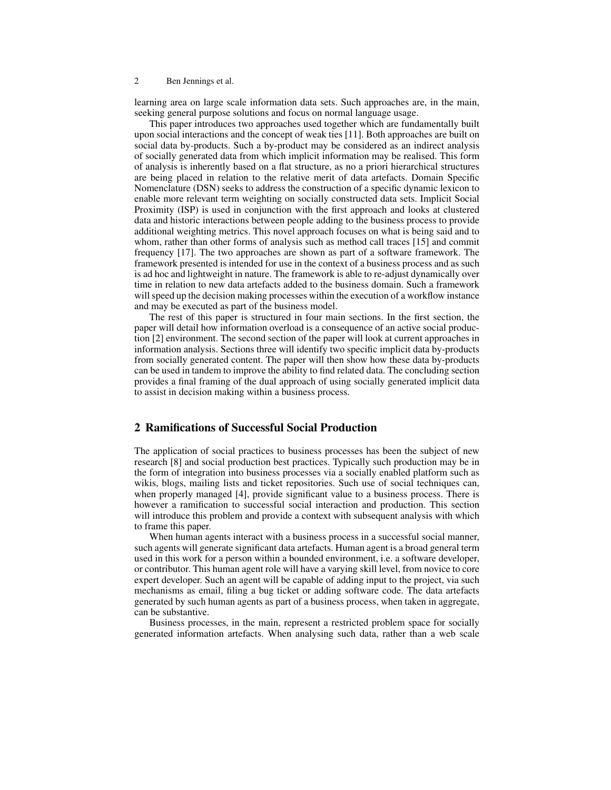### 2 Ben Jennings et al.

learning area on large scale information data sets. Such approaches are, in the main, seeking general purpose solutions and focus on normal language usage.

This paper introduces two approaches used together which are fundamentally built upon social interactions and the concept of weak ties [11]. Both approaches are built on social data by-products. Such a by-product may be considered as an indirect analysis of socially generated data from which implicit information may be realised. This form of analysis is inherently based on a flat structure, as no a priori hierarchical structures are being placed in relation to the relative merit of data artefacts. Domain Specific Nomenclature (DSN) seeks to address the construction of a specific dynamic lexicon to enable more relevant term weighting on socially constructed data sets. Implicit Social Proximity (ISP) is used in conjunction with the first approach and looks at clustered data and historic interactions between people adding to the business process to provide additional weighting metrics. This novel approach focuses on what is being said and to whom, rather than other forms of analysis such as method call traces [15] and commit frequency [17]. The two approaches are shown as part of a software framework. The framework presented is intended for use in the context of a business process and as such is ad hoc and lightweight in nature. The framework is able to re-adjust dynamically over time in relation to new data artefacts added to the business domain. Such a framework will speed up the decision making processes within the execution of a workflow instance and may be executed as part of the business model.

The rest of this paper is structured in four main sections. In the first section, the paper will detail how information overload is a consequence of an active social production [2] environment. The second section of the paper will look at current approaches in information analysis. Sections three will identify two specific implicit data by-products from socially generated content. The paper will then show how these data by-products can be used in tandem to improve the ability to find related data. The concluding section provides a final framing of the dual approach of using socially generated implicit data to assist in decision making within a business process.

# 2 Ramifications of Successful Social Production

The application of social practices to business processes has been the subject of new research [8] and social production best practices. Typically such production may be in the form of integration into business processes via a socially enabled platform such as wikis, blogs, mailing lists and ticket repositories. Such use of social techniques can, when properly managed [4], provide significant value to a business process. There is however a ramification to successful social interaction and production. This section will introduce this problem and provide a context with subsequent analysis with which to frame this paper.

When human agents interact with a business process in a successful social manner, such agents will generate significant data artefacts. Human agent is a broad general term used in this work for a person within a bounded environment, i.e. a software developer, or contributor. This human agent role will have a varying skill level, from novice to core expert developer. Such an agent will be capable of adding input to the project, via such mechanisms as email, filing a bug ticket or adding software code. The data artefacts generated by such human agents as part of a business process, when taken in aggregate, can be substantive.

Business processes, in the main, represent a restricted problem space for socially generated information artefacts. When analysing such data, rather than a web scale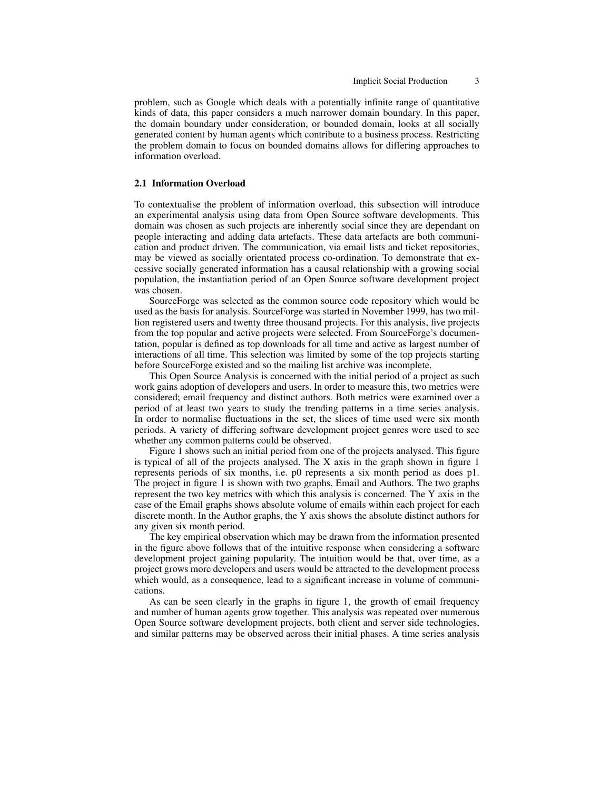problem, such as Google which deals with a potentially infinite range of quantitative kinds of data, this paper considers a much narrower domain boundary. In this paper, the domain boundary under consideration, or bounded domain, looks at all socially generated content by human agents which contribute to a business process. Restricting the problem domain to focus on bounded domains allows for differing approaches to information overload.

#### 2.1 Information Overload

To contextualise the problem of information overload, this subsection will introduce an experimental analysis using data from Open Source software developments. This domain was chosen as such projects are inherently social since they are dependant on people interacting and adding data artefacts. These data artefacts are both communication and product driven. The communication, via email lists and ticket repositories, may be viewed as socially orientated process co-ordination. To demonstrate that excessive socially generated information has a causal relationship with a growing social population, the instantiation period of an Open Source software development project was chosen.

SourceForge was selected as the common source code repository which would be used as the basis for analysis. SourceForge was started in November 1999, has two million registered users and twenty three thousand projects. For this analysis, five projects from the top popular and active projects were selected. From SourceForge's documentation, popular is defined as top downloads for all time and active as largest number of interactions of all time. This selection was limited by some of the top projects starting before SourceForge existed and so the mailing list archive was incomplete.

This Open Source Analysis is concerned with the initial period of a project as such work gains adoption of developers and users. In order to measure this, two metrics were considered; email frequency and distinct authors. Both metrics were examined over a period of at least two years to study the trending patterns in a time series analysis. In order to normalise fluctuations in the set, the slices of time used were six month periods. A variety of differing software development project genres were used to see whether any common patterns could be observed.

Figure 1 shows such an initial period from one of the projects analysed. This figure is typical of all of the projects analysed. The X axis in the graph shown in figure 1 represents periods of six months, i.e. p0 represents a six month period as does p1. The project in figure 1 is shown with two graphs, Email and Authors. The two graphs represent the two key metrics with which this analysis is concerned. The Y axis in the case of the Email graphs shows absolute volume of emails within each project for each discrete month. In the Author graphs, the Y axis shows the absolute distinct authors for any given six month period.

The key empirical observation which may be drawn from the information presented in the figure above follows that of the intuitive response when considering a software development project gaining popularity. The intuition would be that, over time, as a project grows more developers and users would be attracted to the development process which would, as a consequence, lead to a significant increase in volume of communications.

As can be seen clearly in the graphs in figure 1, the growth of email frequency and number of human agents grow together. This analysis was repeated over numerous Open Source software development projects, both client and server side technologies, and similar patterns may be observed across their initial phases. A time series analysis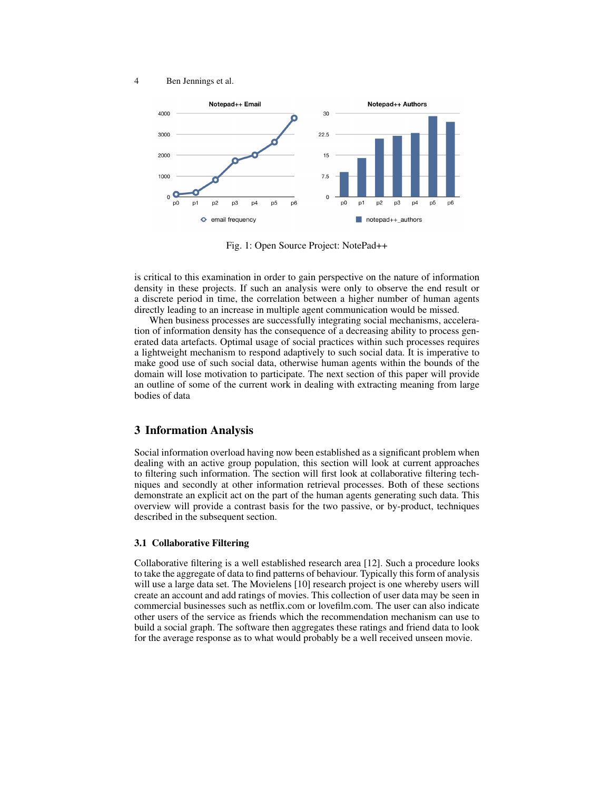4 Ben Jennings et al.



Fig. 1: Open Source Project: NotePad++

is critical to this examination in order to gain perspective on the nature of information density in these projects. If such an analysis were only to observe the end result or a discrete period in time, the correlation between a higher number of human agents directly leading to an increase in multiple agent communication would be missed.

When business processes are successfully integrating social mechanisms, acceleration of information density has the consequence of a decreasing ability to process generated data artefacts. Optimal usage of social practices within such processes requires a lightweight mechanism to respond adaptively to such social data. It is imperative to make good use of such social data, otherwise human agents within the bounds of the domain will lose motivation to participate. The next section of this paper will provide an outline of some of the current work in dealing with extracting meaning from large bodies of data

### 3 Information Analysis

Social information overload having now been established as a significant problem when dealing with an active group population, this section will look at current approaches to filtering such information. The section will first look at collaborative filtering techniques and secondly at other information retrieval processes. Both of these sections demonstrate an explicit act on the part of the human agents generating such data. This overview will provide a contrast basis for the two passive, or by-product, techniques described in the subsequent section.

### 3.1 Collaborative Filtering

Collaborative filtering is a well established research area [12]. Such a procedure looks to take the aggregate of data to find patterns of behaviour. Typically this form of analysis will use a large data set. The Movielens [10] research project is one whereby users will create an account and add ratings of movies. This collection of user data may be seen in commercial businesses such as netflix.com or lovefilm.com. The user can also indicate other users of the service as friends which the recommendation mechanism can use to build a social graph. The software then aggregates these ratings and friend data to look for the average response as to what would probably be a well received unseen movie.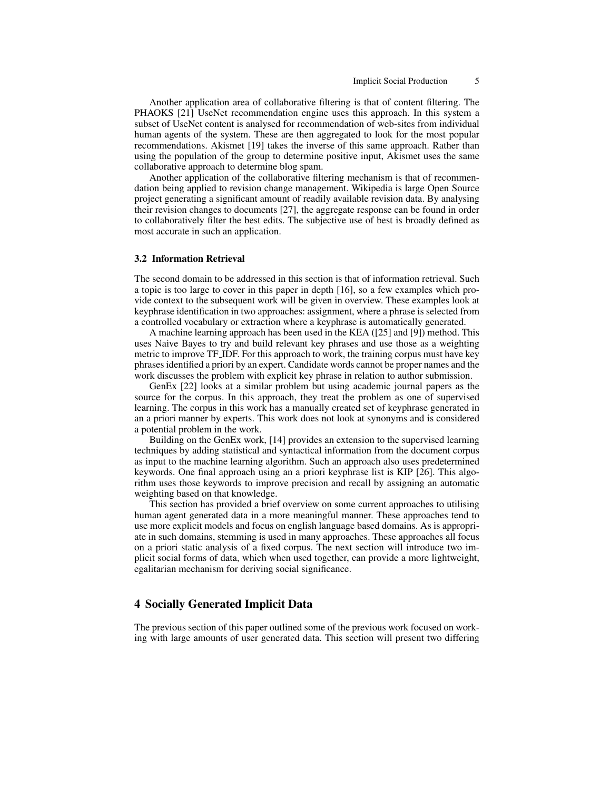Another application area of collaborative filtering is that of content filtering. The PHAOKS [21] UseNet recommendation engine uses this approach. In this system a subset of UseNet content is analysed for recommendation of web-sites from individual human agents of the system. These are then aggregated to look for the most popular recommendations. Akismet [19] takes the inverse of this same approach. Rather than using the population of the group to determine positive input, Akismet uses the same collaborative approach to determine blog spam.

Another application of the collaborative filtering mechanism is that of recommendation being applied to revision change management. Wikipedia is large Open Source project generating a significant amount of readily available revision data. By analysing their revision changes to documents [27], the aggregate response can be found in order to collaboratively filter the best edits. The subjective use of best is broadly defined as most accurate in such an application.

### 3.2 Information Retrieval

The second domain to be addressed in this section is that of information retrieval. Such a topic is too large to cover in this paper in depth [16], so a few examples which provide context to the subsequent work will be given in overview. These examples look at keyphrase identification in two approaches: assignment, where a phrase is selected from a controlled vocabulary or extraction where a keyphrase is automatically generated.

A machine learning approach has been used in the KEA ([25] and [9]) method. This uses Naive Bayes to try and build relevant key phrases and use those as a weighting metric to improve TF IDF. For this approach to work, the training corpus must have key phrases identified a priori by an expert. Candidate words cannot be proper names and the work discusses the problem with explicit key phrase in relation to author submission.

GenEx [22] looks at a similar problem but using academic journal papers as the source for the corpus. In this approach, they treat the problem as one of supervised learning. The corpus in this work has a manually created set of keyphrase generated in an a priori manner by experts. This work does not look at synonyms and is considered a potential problem in the work.

Building on the GenEx work, [14] provides an extension to the supervised learning techniques by adding statistical and syntactical information from the document corpus as input to the machine learning algorithm. Such an approach also uses predetermined keywords. One final approach using an a priori keyphrase list is KIP [26]. This algorithm uses those keywords to improve precision and recall by assigning an automatic weighting based on that knowledge.

This section has provided a brief overview on some current approaches to utilising human agent generated data in a more meaningful manner. These approaches tend to use more explicit models and focus on english language based domains. As is appropriate in such domains, stemming is used in many approaches. These approaches all focus on a priori static analysis of a fixed corpus. The next section will introduce two implicit social forms of data, which when used together, can provide a more lightweight, egalitarian mechanism for deriving social significance.

### 4 Socially Generated Implicit Data

The previous section of this paper outlined some of the previous work focused on working with large amounts of user generated data. This section will present two differing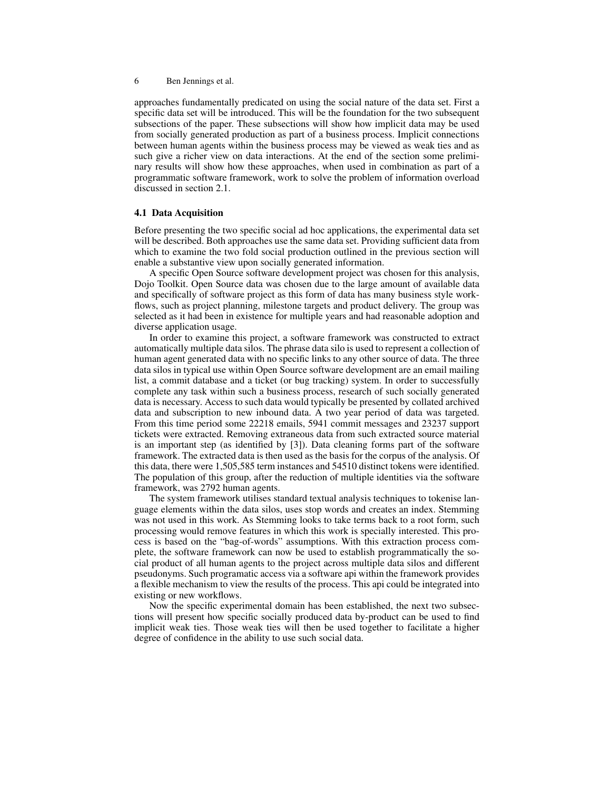approaches fundamentally predicated on using the social nature of the data set. First a specific data set will be introduced. This will be the foundation for the two subsequent subsections of the paper. These subsections will show how implicit data may be used from socially generated production as part of a business process. Implicit connections between human agents within the business process may be viewed as weak ties and as such give a richer view on data interactions. At the end of the section some preliminary results will show how these approaches, when used in combination as part of a programmatic software framework, work to solve the problem of information overload discussed in section 2.1.

### 4.1 Data Acquisition

Before presenting the two specific social ad hoc applications, the experimental data set will be described. Both approaches use the same data set. Providing sufficient data from which to examine the two fold social production outlined in the previous section will enable a substantive view upon socially generated information.

A specific Open Source software development project was chosen for this analysis, Dojo Toolkit. Open Source data was chosen due to the large amount of available data and specifically of software project as this form of data has many business style workflows, such as project planning, milestone targets and product delivery. The group was selected as it had been in existence for multiple years and had reasonable adoption and diverse application usage.

In order to examine this project, a software framework was constructed to extract automatically multiple data silos. The phrase data silo is used to represent a collection of human agent generated data with no specific links to any other source of data. The three data silos in typical use within Open Source software development are an email mailing list, a commit database and a ticket (or bug tracking) system. In order to successfully complete any task within such a business process, research of such socially generated data is necessary. Access to such data would typically be presented by collated archived data and subscription to new inbound data. A two year period of data was targeted. From this time period some 22218 emails, 5941 commit messages and 23237 support tickets were extracted. Removing extraneous data from such extracted source material is an important step (as identified by [3]). Data cleaning forms part of the software framework. The extracted data is then used as the basis for the corpus of the analysis. Of this data, there were 1,505,585 term instances and 54510 distinct tokens were identified. The population of this group, after the reduction of multiple identities via the software framework, was 2792 human agents.

The system framework utilises standard textual analysis techniques to tokenise language elements within the data silos, uses stop words and creates an index. Stemming was not used in this work. As Stemming looks to take terms back to a root form, such processing would remove features in which this work is specially interested. This process is based on the "bag-of-words" assumptions. With this extraction process complete, the software framework can now be used to establish programmatically the social product of all human agents to the project across multiple data silos and different pseudonyms. Such programatic access via a software api within the framework provides a flexible mechanism to view the results of the process. This api could be integrated into existing or new workflows.

Now the specific experimental domain has been established, the next two subsections will present how specific socially produced data by-product can be used to find implicit weak ties. Those weak ties will then be used together to facilitate a higher degree of confidence in the ability to use such social data.

<sup>6</sup> Ben Jennings et al.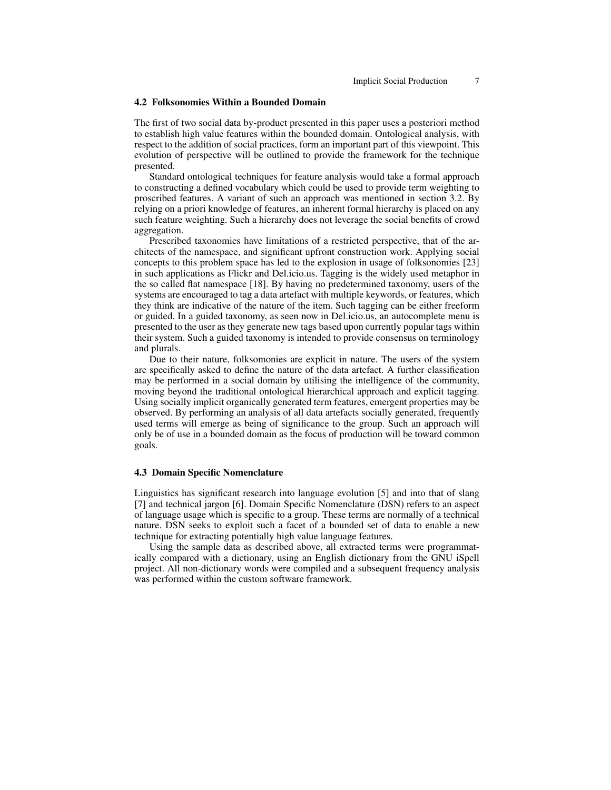#### 4.2 Folksonomies Within a Bounded Domain

The first of two social data by-product presented in this paper uses a posteriori method to establish high value features within the bounded domain. Ontological analysis, with respect to the addition of social practices, form an important part of this viewpoint. This evolution of perspective will be outlined to provide the framework for the technique presented.

Standard ontological techniques for feature analysis would take a formal approach to constructing a defined vocabulary which could be used to provide term weighting to proscribed features. A variant of such an approach was mentioned in section 3.2. By relying on a priori knowledge of features, an inherent formal hierarchy is placed on any such feature weighting. Such a hierarchy does not leverage the social benefits of crowd aggregation.

Prescribed taxonomies have limitations of a restricted perspective, that of the architects of the namespace, and significant upfront construction work. Applying social concepts to this problem space has led to the explosion in usage of folksonomies [23] in such applications as Flickr and Del.icio.us. Tagging is the widely used metaphor in the so called flat namespace [18]. By having no predetermined taxonomy, users of the systems are encouraged to tag a data artefact with multiple keywords, or features, which they think are indicative of the nature of the item. Such tagging can be either freeform or guided. In a guided taxonomy, as seen now in Del.icio.us, an autocomplete menu is presented to the user as they generate new tags based upon currently popular tags within their system. Such a guided taxonomy is intended to provide consensus on terminology and plurals.

Due to their nature, folksomonies are explicit in nature. The users of the system are specifically asked to define the nature of the data artefact. A further classification may be performed in a social domain by utilising the intelligence of the community, moving beyond the traditional ontological hierarchical approach and explicit tagging. Using socially implicit organically generated term features, emergent properties may be observed. By performing an analysis of all data artefacts socially generated, frequently used terms will emerge as being of significance to the group. Such an approach will only be of use in a bounded domain as the focus of production will be toward common goals.

#### 4.3 Domain Specific Nomenclature

Linguistics has significant research into language evolution [5] and into that of slang [7] and technical jargon [6]. Domain Specific Nomenclature (DSN) refers to an aspect of language usage which is specific to a group. These terms are normally of a technical nature. DSN seeks to exploit such a facet of a bounded set of data to enable a new technique for extracting potentially high value language features.

Using the sample data as described above, all extracted terms were programmatically compared with a dictionary, using an English dictionary from the GNU iSpell project. All non-dictionary words were compiled and a subsequent frequency analysis was performed within the custom software framework.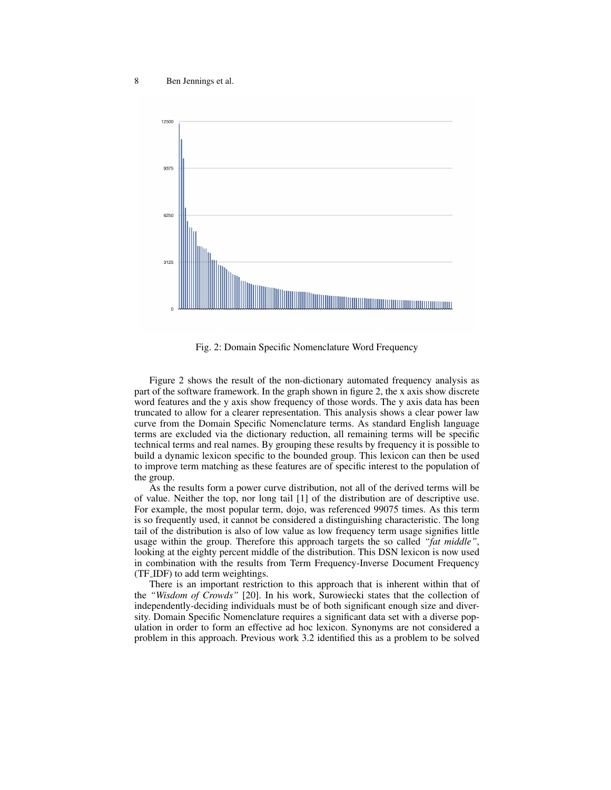

Fig. 2: Domain Specific Nomenclature Word Frequency

Figure 2 shows the result of the non-dictionary automated frequency analysis as part of the software framework. In the graph shown in figure 2, the x axis show discrete word features and the y axis show frequency of those words. The y axis data has been truncated to allow for a clearer representation. This analysis shows a clear power law curve from the Domain Specific Nomenclature terms. As standard English language terms are excluded via the dictionary reduction, all remaining terms will be specific technical terms and real names. By grouping these results by frequency it is possible to build a dynamic lexicon specific to the bounded group. This lexicon can then be used to improve term matching as these features are of specific interest to the population of the group.

As the results form a power curve distribution, not all of the derived terms will be of value. Neither the top, nor long tail [1] of the distribution are of descriptive use. For example, the most popular term, dojo, was referenced 99075 times. As this term is so frequently used, it cannot be considered a distinguishing characteristic. The long tail of the distribution is also of low value as low frequency term usage signifies little usage within the group. Therefore this approach targets the so called *"fat middle"*, looking at the eighty percent middle of the distribution. This DSN lexicon is now used in combination with the results from Term Frequency-Inverse Document Frequency (TF IDF) to add term weightings.

There is an important restriction to this approach that is inherent within that of the *"Wisdom of Crowds"* [20]. In his work, Surowiecki states that the collection of independently-deciding individuals must be of both significant enough size and diversity. Domain Specific Nomenclature requires a significant data set with a diverse population in order to form an effective ad hoc lexicon. Synonyms are not considered a problem in this approach. Previous work 3.2 identified this as a problem to be solved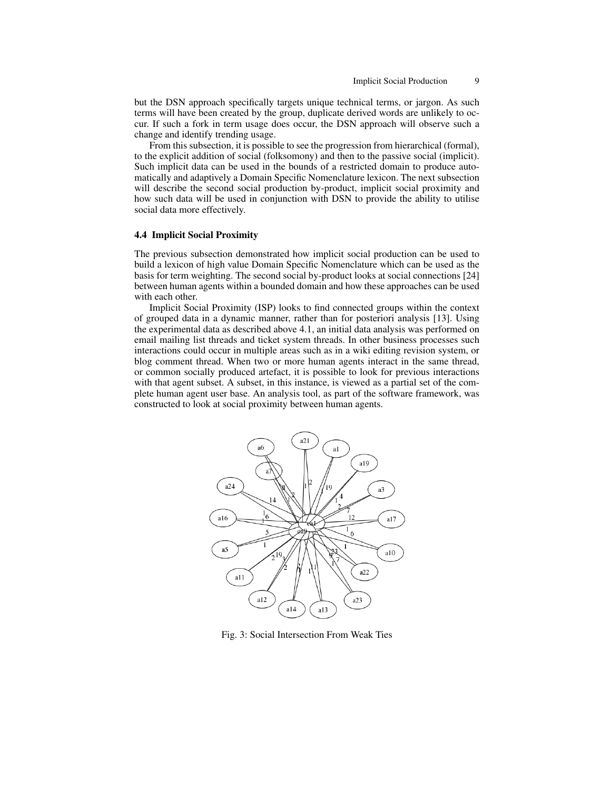but the DSN approach specifically targets unique technical terms, or jargon. As such terms will have been created by the group, duplicate derived words are unlikely to occur. If such a fork in term usage does occur, the DSN approach will observe such a change and identify trending usage.

From this subsection, it is possible to see the progression from hierarchical (formal), to the explicit addition of social (folksomony) and then to the passive social (implicit). Such implicit data can be used in the bounds of a restricted domain to produce automatically and adaptively a Domain Specific Nomenclature lexicon. The next subsection will describe the second social production by-product, implicit social proximity and how such data will be used in conjunction with DSN to provide the ability to utilise social data more effectively.

### 4.4 Implicit Social Proximity

The previous subsection demonstrated how implicit social production can be used to build a lexicon of high value Domain Specific Nomenclature which can be used as the basis for term weighting. The second social by-product looks at social connections [24] between human agents within a bounded domain and how these approaches can be used with each other.

Implicit Social Proximity (ISP) looks to find connected groups within the context of grouped data in a dynamic manner, rather than for posteriori analysis [13]. Using the experimental data as described above 4.1, an initial data analysis was performed on email mailing list threads and ticket system threads. In other business processes such interactions could occur in multiple areas such as in a wiki editing revision system, or blog comment thread. When two or more human agents interact in the same thread, or common socially produced artefact, it is possible to look for previous interactions with that agent subset. A subset, in this instance, is viewed as a partial set of the complete human agent user base. An analysis tool, as part of the software framework, was constructed to look at social proximity between human agents.



Fig. 3: Social Intersection From Weak Ties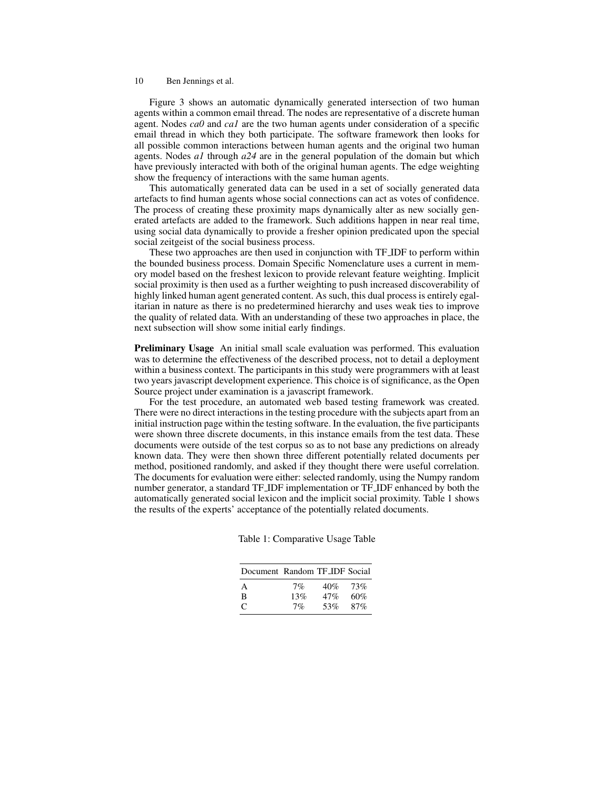#### 10 Ben Jennings et al.

Figure 3 shows an automatic dynamically generated intersection of two human agents within a common email thread. The nodes are representative of a discrete human agent. Nodes *ca0* and *ca1* are the two human agents under consideration of a specific email thread in which they both participate. The software framework then looks for all possible common interactions between human agents and the original two human agents. Nodes *a1* through *a24* are in the general population of the domain but which have previously interacted with both of the original human agents. The edge weighting show the frequency of interactions with the same human agents.

This automatically generated data can be used in a set of socially generated data artefacts to find human agents whose social connections can act as votes of confidence. The process of creating these proximity maps dynamically alter as new socially generated artefacts are added to the framework. Such additions happen in near real time, using social data dynamically to provide a fresher opinion predicated upon the special social zeitgeist of the social business process.

These two approaches are then used in conjunction with TF IDF to perform within the bounded business process. Domain Specific Nomenclature uses a current in memory model based on the freshest lexicon to provide relevant feature weighting. Implicit social proximity is then used as a further weighting to push increased discoverability of highly linked human agent generated content. As such, this dual process is entirely egalitarian in nature as there is no predetermined hierarchy and uses weak ties to improve the quality of related data. With an understanding of these two approaches in place, the next subsection will show some initial early findings.

Preliminary Usage An initial small scale evaluation was performed. This evaluation was to determine the effectiveness of the described process, not to detail a deployment within a business context. The participants in this study were programmers with at least two years javascript development experience. This choice is of significance, as the Open Source project under examination is a javascript framework.

For the test procedure, an automated web based testing framework was created. There were no direct interactions in the testing procedure with the subjects apart from an initial instruction page within the testing software. In the evaluation, the five participants were shown three discrete documents, in this instance emails from the test data. These documents were outside of the test corpus so as to not base any predictions on already known data. They were then shown three different potentially related documents per method, positioned randomly, and asked if they thought there were useful correlation. The documents for evaluation were either: selected randomly, using the Numpy random number generator, a standard TF IDF implementation or TF IDF enhanced by both the automatically generated social lexicon and the implicit social proximity. Table 1 shows the results of the experts' acceptance of the potentially related documents.

Table 1: Comparative Usage Table

| Document Random TF IDF Social |       |     |     |
|-------------------------------|-------|-----|-----|
| A                             | $7\%$ | 40% | 73% |
| B                             | 13%   | 47% | 60% |
| C                             | 7%    | 53% | 87% |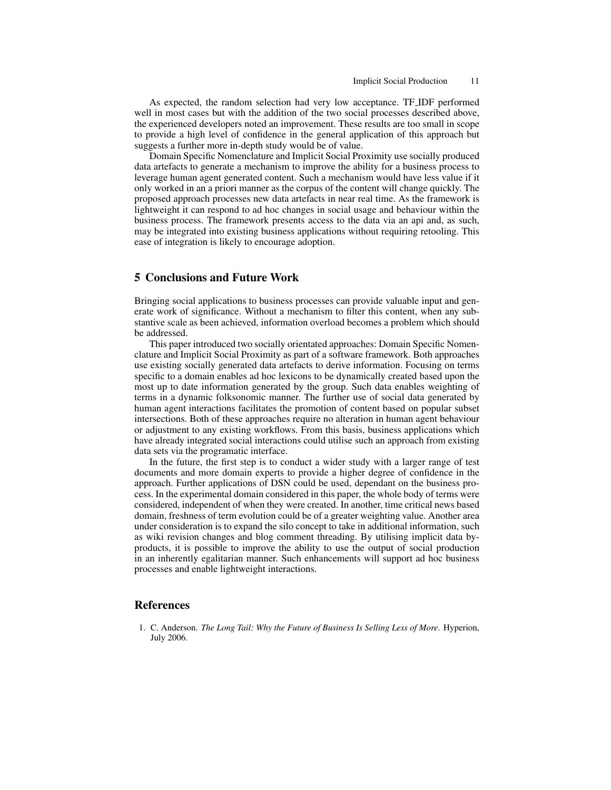As expected, the random selection had very low acceptance. TF IDF performed well in most cases but with the addition of the two social processes described above, the experienced developers noted an improvement. These results are too small in scope to provide a high level of confidence in the general application of this approach but suggests a further more in-depth study would be of value.

Domain Specific Nomenclature and Implicit Social Proximity use socially produced data artefacts to generate a mechanism to improve the ability for a business process to leverage human agent generated content. Such a mechanism would have less value if it only worked in an a priori manner as the corpus of the content will change quickly. The proposed approach processes new data artefacts in near real time. As the framework is lightweight it can respond to ad hoc changes in social usage and behaviour within the business process. The framework presents access to the data via an api and, as such, may be integrated into existing business applications without requiring retooling. This ease of integration is likely to encourage adoption.

### 5 Conclusions and Future Work

Bringing social applications to business processes can provide valuable input and generate work of significance. Without a mechanism to filter this content, when any substantive scale as been achieved, information overload becomes a problem which should be addressed.

This paper introduced two socially orientated approaches: Domain Specific Nomenclature and Implicit Social Proximity as part of a software framework. Both approaches use existing socially generated data artefacts to derive information. Focusing on terms specific to a domain enables ad hoc lexicons to be dynamically created based upon the most up to date information generated by the group. Such data enables weighting of terms in a dynamic folksonomic manner. The further use of social data generated by human agent interactions facilitates the promotion of content based on popular subset intersections. Both of these approaches require no alteration in human agent behaviour or adjustment to any existing workflows. From this basis, business applications which have already integrated social interactions could utilise such an approach from existing data sets via the programatic interface.

In the future, the first step is to conduct a wider study with a larger range of test documents and more domain experts to provide a higher degree of confidence in the approach. Further applications of DSN could be used, dependant on the business process. In the experimental domain considered in this paper, the whole body of terms were considered, independent of when they were created. In another, time critical news based domain, freshness of term evolution could be of a greater weighting value. Another area under consideration is to expand the silo concept to take in additional information, such as wiki revision changes and blog comment threading. By utilising implicit data byproducts, it is possible to improve the ability to use the output of social production in an inherently egalitarian manner. Such enhancements will support ad hoc business processes and enable lightweight interactions.

### References

1. C. Anderson. *The Long Tail: Why the Future of Business Is Selling Less of More*. Hyperion, July 2006.